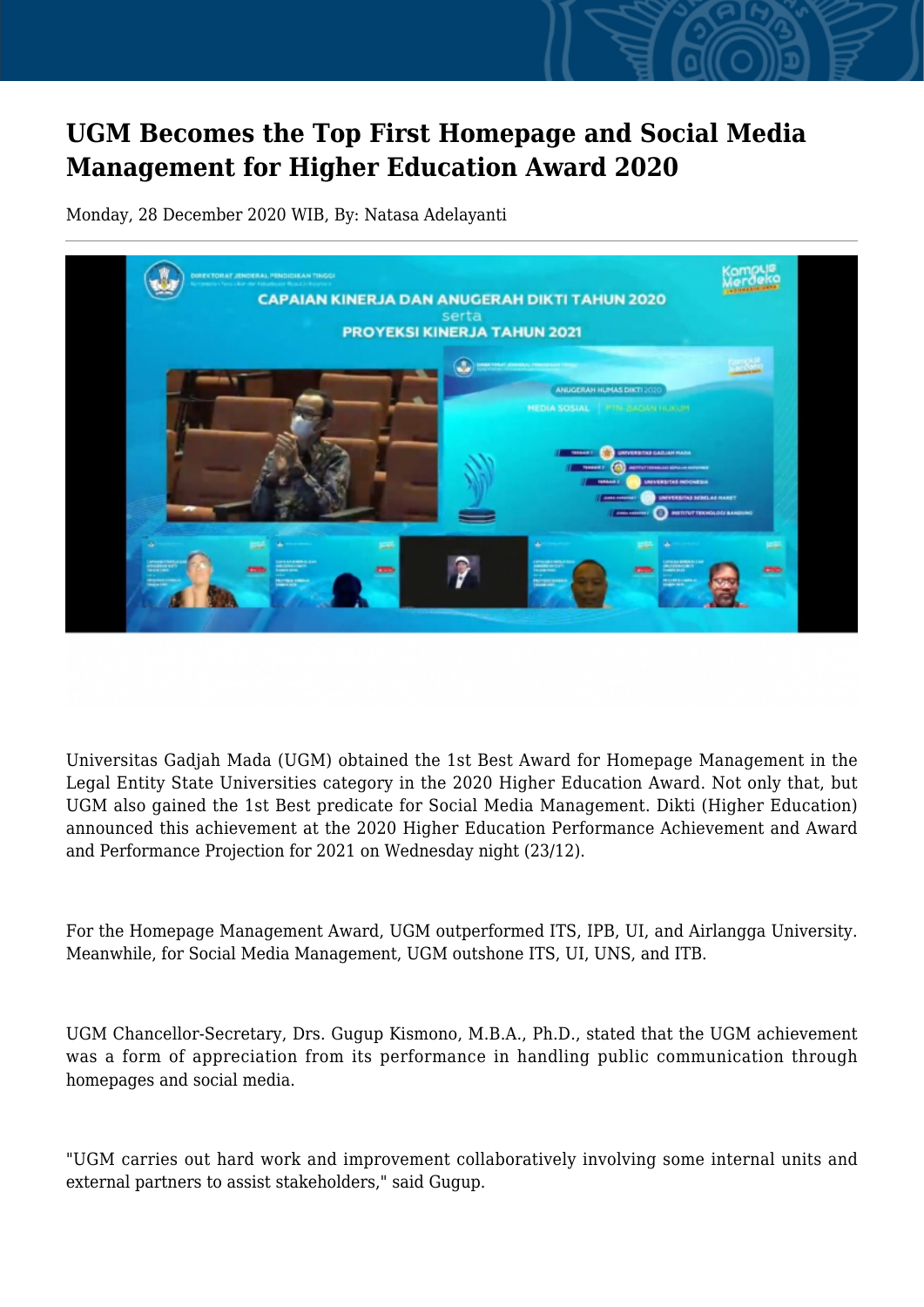## **UGM Becomes the Top First Homepage and Social Media Management for Higher Education Award 2020**

Monday, 28 December 2020 WIB, By: Natasa Adelayanti



Universitas Gadjah Mada (UGM) obtained the 1st Best Award for Homepage Management in the Legal Entity State Universities category in the 2020 Higher Education Award. Not only that, but UGM also gained the 1st Best predicate for Social Media Management. Dikti (Higher Education) announced this achievement at the 2020 Higher Education Performance Achievement and Award and Performance Projection for 2021 on Wednesday night (23/12).

For the Homepage Management Award, UGM outperformed ITS, IPB, UI, and Airlangga University. Meanwhile, for Social Media Management, UGM outshone ITS, UI, UNS, and ITB.

UGM Chancellor-Secretary, Drs. Gugup Kismono, M.B.A., Ph.D., stated that the UGM achievement was a form of appreciation from its performance in handling public communication through homepages and social media.

"UGM carries out hard work and improvement collaboratively involving some internal units and external partners to assist stakeholders," said Gugup.